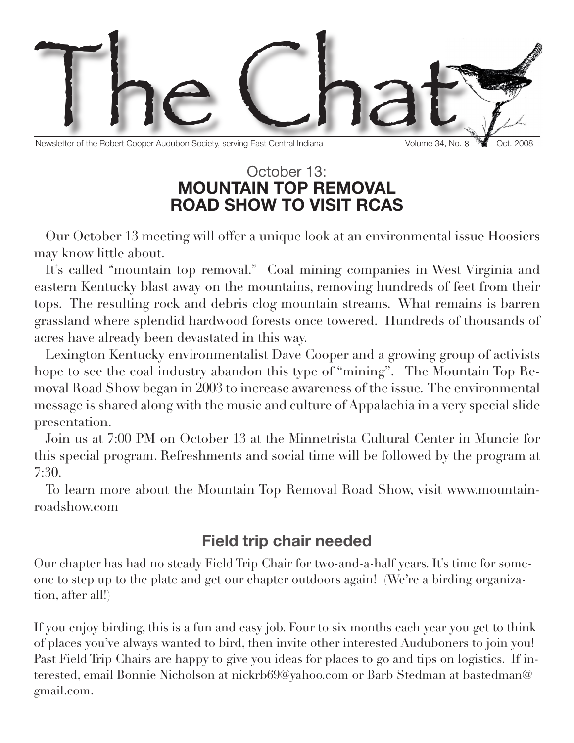

#### October 13: **MOUNTAIN TOP REMOVAL ROAD SHOW TO VISIT RCAS**

Our October 13 meeting will offer a unique look at an environmental issue Hoosiers may know little about.

It's called "mountain top removal." Coal mining companies in West Virginia and eastern Kentucky blast away on the mountains, removing hundreds of feet from their tops. The resulting rock and debris clog mountain streams. What remains is barren grassland where splendid hardwood forests once towered. Hundreds of thousands of acres have already been devastated in this way.

Lexington Kentucky environmentalist Dave Cooper and a growing group of activists hope to see the coal industry abandon this type of "mining". The Mountain Top Removal Road Show began in 2003 to increase awareness of the issue. The environmental message is shared along with the music and culture of Appalachia in a very special slide presentation.

Join us at 7:00 PM on October 13 at the Minnetrista Cultural Center in Muncie for this special program. Refreshments and social time will be followed by the program at 7:30.

To learn more about the Mountain Top Removal Road Show, visit www.mountainroadshow.com

# **Field trip chair needed**

Our chapter has had no steady Field Trip Chair for two-and-a-half years. It's time for someone to step up to the plate and get our chapter outdoors again! (We're a birding organization, after all!)

If you enjoy birding, this is a fun and easy job. Four to six months each year you get to think of places you've always wanted to bird, then invite other interested Auduboners to join you! Past Field Trip Chairs are happy to give you ideas for places to go and tips on logistics. If interested, email Bonnie Nicholson at nickrb69@yahoo.com or Barb Stedman at bastedman@ gmail.com.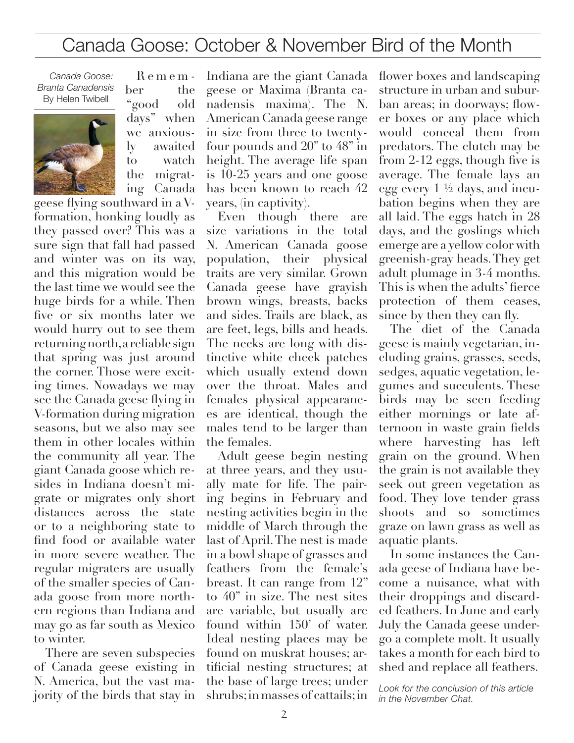# Canada Goose: October & November Bird of the Month

*Canada Goose: Branta Canadensis* By Helen Twibell



R e m e m ber the "good old days" when we anxiously awaited to watch the migrating Canada

geese flying southward in a Vformation, honking loudly as they passed over? This was a sure sign that fall had passed and winter was on its way, and this migration would be the last time we would see the huge birds for a while. Then five or six months later we would hurry out to see them returning north, a reliable sign that spring was just around the corner. Those were exciting times. Nowadays we may see the Canada geese flying in V-formation during migration seasons, but we also may see them in other locales within the community all year. The giant Canada goose which resides in Indiana doesn't migrate or migrates only short distances across the state or to a neighboring state to find food or available water in more severe weather. The regular migraters are usually of the smaller species of Canada goose from more northern regions than Indiana and may go as far south as Mexico to winter.

There are seven subspecies of Canada geese existing in N. America, but the vast majority of the birds that stay in

Indiana are the giant Canada geese or Maxima (Branta canadensis maxima). The N. American Canada geese range in size from three to twentyfour pounds and 20" to 48" in height. The average life span is 10-25 years and one goose has been known to reach 42 years, (in captivity).

Even though there are size variations in the total N. American Canada goose population, their physical traits are very similar. Grown Canada geese have grayish brown wings, breasts, backs and sides. Trails are black, as are feet, legs, bills and heads. The necks are long with distinctive white cheek patches which usually extend down over the throat. Males and females physical appearances are identical, though the males tend to be larger than the females.

Adult geese begin nesting at three years, and they usually mate for life. The pairing begins in February and nesting activities begin in the middle of March through the last of April. The nest is made in a bowl shape of grasses and feathers from the female's breast. It can range from 12" to 40" in size. The nest sites are variable, but usually are found within 150' of water. Ideal nesting places may be found on muskrat houses; artificial nesting structures; at the base of large trees; under shrubs; in masses of cattails; in flower boxes and landscaping structure in urban and suburban areas; in doorways; flower boxes or any place which would conceal them from predators. The clutch may be from 2-12 eggs, though five is average. The female lays an egg every 1 ½ days, and incubation begins when they are all laid. The eggs hatch in 28 days, and the goslings which emerge are a yellow color with greenish-gray heads. They get adult plumage in 3-4 months. This is when the adults' fierce protection of them ceases, since by then they can fly.

The diet of the Canada geese is mainly vegetarian, including grains, grasses, seeds, sedges, aquatic vegetation, legumes and succulents. These birds may be seen feeding either mornings or late afternoon in waste grain fields where harvesting has left grain on the ground. When the grain is not available they seek out green vegetation as food. They love tender grass shoots and so sometimes graze on lawn grass as well as aquatic plants.

In some instances the Canada geese of Indiana have become a nuisance, what with their droppings and discarded feathers. In June and early July the Canada geese undergo a complete molt. It usually takes a month for each bird to shed and replace all feathers.

*Look for the conclusion of this article in the November Chat.*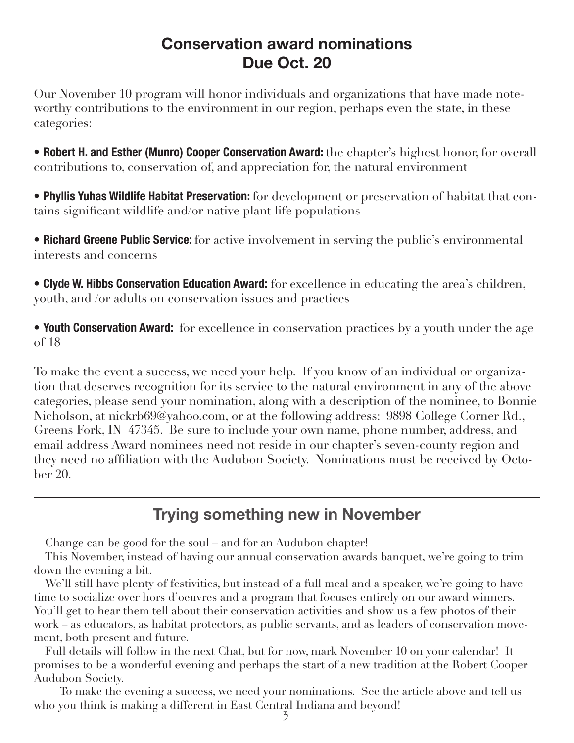# **Conservation award nominations Due Oct. 20**

Our November 10 program will honor individuals and organizations that have made noteworthy contributions to the environment in our region, perhaps even the state, in these categories:

• **Robert H. and Esther (Munro) Cooper Conservation Award:** the chapter's highest honor, for overall contributions to, conservation of, and appreciation for, the natural environment

• **Phyllis Yuhas Wildlife Habitat Preservation:** for development or preservation of habitat that contains significant wildlife and/or native plant life populations

• **Richard Greene Public Service:** for active involvement in serving the public's environmental interests and concerns

• **Clyde W. Hibbs Conservation Education Award:** for excellence in educating the area's children, youth, and /or adults on conservation issues and practices

• **Youth Conservation Award:** for excellence in conservation practices by a youth under the age of 18

To make the event a success, we need your help. If you know of an individual or organization that deserves recognition for its service to the natural environment in any of the above categories, please send your nomination, along with a description of the nominee, to Bonnie Nicholson, at nickrb69@yahoo.com, or at the following address: 9898 College Corner Rd., Greens Fork, IN 47345. Be sure to include your own name, phone number, address, and email address Award nominees need not reside in our chapter's seven-county region and they need no affiliation with the Audubon Society. Nominations must be received by October 20.

# **Trying something new in November**

Change can be good for the soul – and for an Audubon chapter!

This November, instead of having our annual conservation awards banquet, we're going to trim down the evening a bit.

We'll still have plenty of festivities, but instead of a full meal and a speaker, we're going to have time to socialize over hors d'oeuvres and a program that focuses entirely on our award winners. You'll get to hear them tell about their conservation activities and show us a few photos of their work – as educators, as habitat protectors, as public servants, and as leaders of conservation movement, both present and future.

Full details will follow in the next Chat, but for now, mark November 10 on your calendar! It promises to be a wonderful evening and perhaps the start of a new tradition at the Robert Cooper Audubon Society.

 To make the evening a success, we need your nominations. See the article above and tell us who you think is making a different in East Central Indiana and beyond!